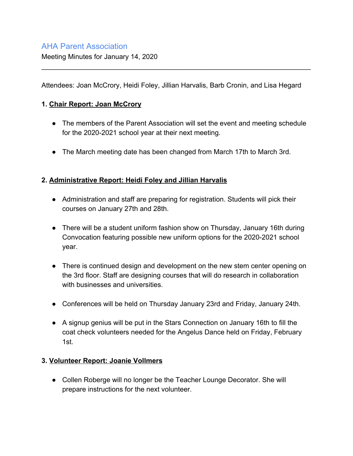# AHA Parent Association

Meeting Minutes for January 14, 2020

Attendees: Joan McCrory, Heidi Foley, Jillian Harvalis, Barb Cronin, and Lisa Hegard

\_\_\_\_\_\_\_\_\_\_\_\_\_\_\_\_\_\_\_\_\_\_\_\_\_\_\_\_\_\_\_\_\_\_\_\_\_\_\_\_\_\_\_\_\_\_\_\_\_\_\_\_\_\_\_\_\_\_\_\_\_\_\_\_\_\_\_\_\_\_

### **1. Chair Report: Joan McCrory**

- The members of the Parent Association will set the event and meeting schedule for the 2020-2021 school year at their next meeting.
- The March meeting date has been changed from March 17th to March 3rd.

### **2. Administrative Report: Heidi Foley and Jillian Harvalis**

- Administration and staff are preparing for registration. Students will pick their courses on January 27th and 28th.
- There will be a student uniform fashion show on Thursday, January 16th during Convocation featuring possible new uniform options for the 2020-2021 school year.
- There is continued design and development on the new stem center opening on the 3rd floor. Staff are designing courses that will do research in collaboration with businesses and universities.
- Conferences will be held on Thursday January 23rd and Friday, January 24th.
- A signup genius will be put in the Stars Connection on January 16th to fill the coat check volunteers needed for the Angelus Dance held on Friday, February 1st.

#### **3. Volunteer Report: Joanie Vollmers**

● Collen Roberge will no longer be the Teacher Lounge Decorator. She will prepare instructions for the next volunteer.